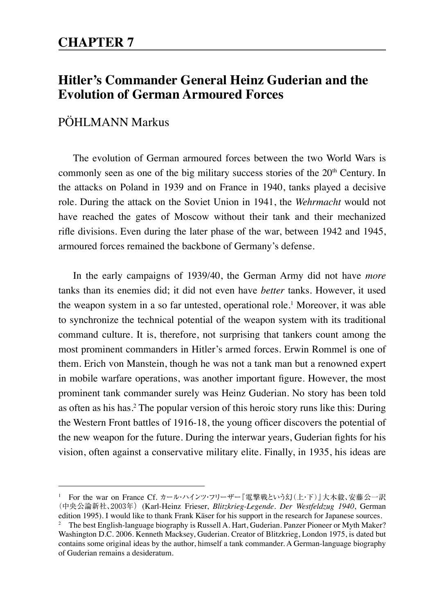# **Hitler's Commander General Heinz Guderian and the Evolution of German Armoured Forces**

## PÖHLMANN Markus

The evolution of German armoured forces between the two World Wars is commonly seen as one of the big military success stories of the 20<sup>th</sup> Century. In the attacks on Poland in 1939 and on France in 1940, tanks played a decisive role. During the attack on the Soviet Union in 1941, the *Wehrmacht* would not have reached the gates of Moscow without their tank and their mechanized rifle divisions. Even during the later phase of the war, between 1942 and 1945, armoured forces remained the backbone of Germany's defense.

In the early campaigns of 1939/40, the German Army did not have *more* tanks than its enemies did; it did not even have *better* tanks. However, it used the weapon system in a so far untested, operational role.<sup>1</sup> Moreover, it was able to synchronize the technical potential of the weapon system with its traditional command culture. It is, therefore, not surprising that tankers count among the most prominent commanders in Hitler's armed forces. Erwin Rommel is one of them. Erich von Manstein, though he was not a tank man but a renowned expert in mobile warfare operations, was another important figure. However, the most prominent tank commander surely was Heinz Guderian. No story has been told as often as his has.<sup>2</sup> The popular version of this heroic story runs like this: During the Western Front battles of 1916-18, the young officer discovers the potential of the new weapon for the future. During the interwar years, Guderian fights for his vision, often against a conservative military elite. Finally, in 1935, his ideas are

For the war on France Cf. カール・ハインツ・フリーザー『電撃戦という幻(上・下)』大木毅、安藤公一訳 (中央公論新社、2003年)(Karl-Heinz Frieser, *Blitzkrieg-Legende. Der Westfeldzug 1940*, German edition 1995). I would like to thank Frank Käser for his support in the research for Japanese sources.

<sup>2</sup> The best English-language biography is Russell A. Hart, Guderian. Panzer Pioneer or Myth Maker? Washington D.C. 2006. Kenneth Macksey, Guderian. Creator of Blitzkrieg, London 1975, is dated but contains some original ideas by the author, himself a tank commander. A German-language biography of Guderian remains a desideratum.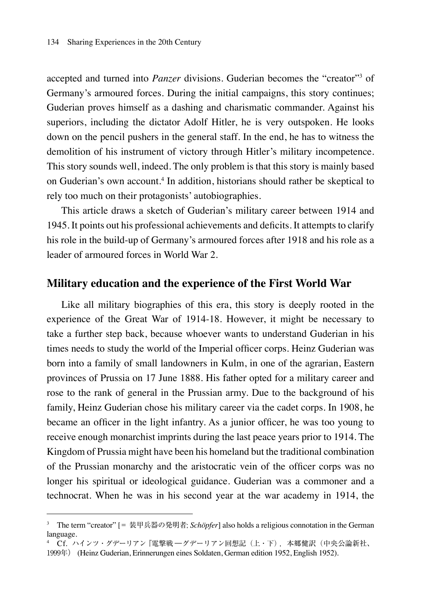accepted and turned into *Panzer* divisions. Guderian becomes the "creator"<sup>3</sup> of Germany's armoured forces. During the initial campaigns, this story continues; Guderian proves himself as a dashing and charismatic commander. Against his superiors, including the dictator Adolf Hitler, he is very outspoken. He looks down on the pencil pushers in the general staff. In the end, he has to witness the demolition of his instrument of victory through Hitler's military incompetence. This story sounds well, indeed. The only problem is that this story is mainly based on Guderian's own account.4 In addition, historians should rather be skeptical to rely too much on their protagonists' autobiographies.

This article draws a sketch of Guderian's military career between 1914 and 1945. It points out his professional achievements and deficits. It attempts to clarify his role in the build-up of Germany's armoured forces after 1918 and his role as a leader of armoured forces in World War 2.

#### **Military education and the experience of the First World War**

Like all military biographies of this era, this story is deeply rooted in the experience of the Great War of 1914-18. However, it might be necessary to take a further step back, because whoever wants to understand Guderian in his times needs to study the world of the Imperial officer corps. Heinz Guderian was born into a family of small landowners in Kulm, in one of the agrarian, Eastern provinces of Prussia on 17 June 1888. His father opted for a military career and rose to the rank of general in the Prussian army. Due to the background of his family, Heinz Guderian chose his military career via the cadet corps. In 1908, he became an officer in the light infantry. As a junior officer, he was too young to receive enough monarchist imprints during the last peace years prior to 1914. The Kingdom of Prussia might have been his homeland but the traditional combination of the Prussian monarchy and the aristocratic vein of the officer corps was no longer his spiritual or ideological guidance. Guderian was a commoner and a technocrat. When he was in his second year at the war academy in 1914, the

<sup>3</sup> The term "creator" [= 装甲兵器の発明者; *Schöpfer*] also holds a religious connotation in the German language.

<sup>4</sup> Cf. ハインツ・グデーリアン『電撃戦 ―グデーリアン回想記(上・下), 本郷健訳(中央公論新社、

<sup>1999</sup>年) (Heinz Guderian, Erinnerungen eines Soldaten, German edition 1952, English 1952).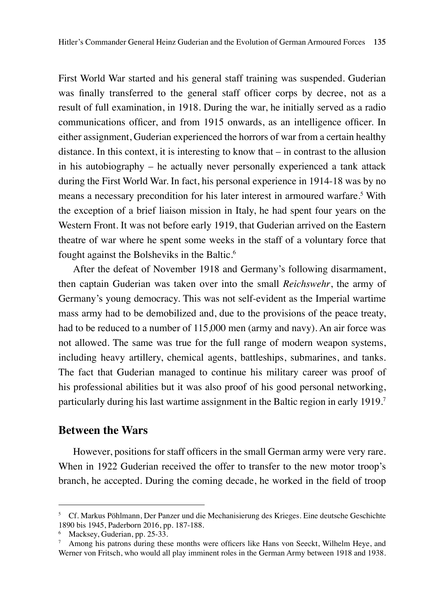First World War started and his general staff training was suspended. Guderian was finally transferred to the general staff officer corps by decree, not as a result of full examination, in 1918. During the war, he initially served as a radio communications officer, and from 1915 onwards, as an intelligence officer. In either assignment, Guderian experienced the horrors of war from a certain healthy distance. In this context, it is interesting to know that – in contrast to the allusion in his autobiography – he actually never personally experienced a tank attack during the First World War. In fact, his personal experience in 1914-18 was by no means a necessary precondition for his later interest in armoured warfare.<sup>5</sup> With the exception of a brief liaison mission in Italy, he had spent four years on the Western Front. It was not before early 1919, that Guderian arrived on the Eastern theatre of war where he spent some weeks in the staff of a voluntary force that fought against the Bolsheviks in the Baltic.6

After the defeat of November 1918 and Germany's following disarmament, then captain Guderian was taken over into the small *Reichswehr*, the army of Germany's young democracy. This was not self-evident as the Imperial wartime mass army had to be demobilized and, due to the provisions of the peace treaty, had to be reduced to a number of 115,000 men (army and navy). An air force was not allowed. The same was true for the full range of modern weapon systems, including heavy artillery, chemical agents, battleships, submarines, and tanks. The fact that Guderian managed to continue his military career was proof of his professional abilities but it was also proof of his good personal networking, particularly during his last wartime assignment in the Baltic region in early 1919.<sup>7</sup>

#### **Between the Wars**

However, positions for staff officers in the small German army were very rare. When in 1922 Guderian received the offer to transfer to the new motor troop's branch, he accepted. During the coming decade, he worked in the field of troop

<sup>5</sup> Cf. Markus Pöhlmann, Der Panzer und die Mechanisierung des Krieges. Eine deutsche Geschichte 1890 bis 1945, Paderborn 2016, pp. 187-188.

<sup>6</sup> Macksey, Guderian, pp. 25-33.

<sup>7</sup> Among his patrons during these months were officers like Hans von Seeckt, Wilhelm Heye, and Werner von Fritsch, who would all play imminent roles in the German Army between 1918 and 1938.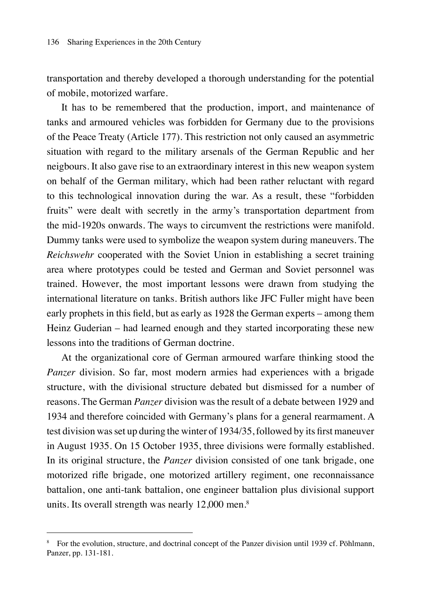transportation and thereby developed a thorough understanding for the potential of mobile, motorized warfare.

It has to be remembered that the production, import, and maintenance of tanks and armoured vehicles was forbidden for Germany due to the provisions of the Peace Treaty (Article 177). This restriction not only caused an asymmetric situation with regard to the military arsenals of the German Republic and her neigbours. It also gave rise to an extraordinary interest in this new weapon system on behalf of the German military, which had been rather reluctant with regard to this technological innovation during the war. As a result, these "forbidden fruits" were dealt with secretly in the army's transportation department from the mid-1920s onwards. The ways to circumvent the restrictions were manifold. Dummy tanks were used to symbolize the weapon system during maneuvers. The *Reichswehr* cooperated with the Soviet Union in establishing a secret training area where prototypes could be tested and German and Soviet personnel was trained. However, the most important lessons were drawn from studying the international literature on tanks. British authors like JFC Fuller might have been early prophets in this field, but as early as 1928 the German experts – among them Heinz Guderian – had learned enough and they started incorporating these new lessons into the traditions of German doctrine.

At the organizational core of German armoured warfare thinking stood the *Panzer* division. So far, most modern armies had experiences with a brigade structure, with the divisional structure debated but dismissed for a number of reasons. The German *Panzer* division was the result of a debate between 1929 and 1934 and therefore coincided with Germany's plans for a general rearmament. A test division was set up during the winter of 1934/35, followed by its first maneuver in August 1935. On 15 October 1935, three divisions were formally established. In its original structure, the *Panzer* division consisted of one tank brigade, one motorized rifle brigade, one motorized artillery regiment, one reconnaissance battalion, one anti-tank battalion, one engineer battalion plus divisional support units. Its overall strength was nearly 12,000 men.<sup>8</sup>

<sup>8</sup> For the evolution, structure, and doctrinal concept of the Panzer division until 1939 cf. Pöhlmann, Panzer, pp. 131-181.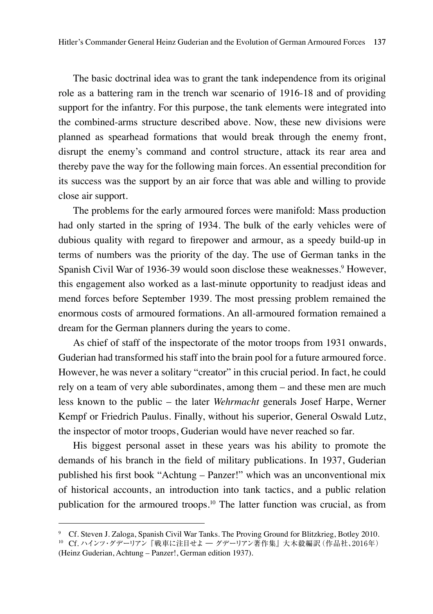The basic doctrinal idea was to grant the tank independence from its original role as a battering ram in the trench war scenario of 1916-18 and of providing support for the infantry. For this purpose, the tank elements were integrated into the combined-arms structure described above. Now, these new divisions were planned as spearhead formations that would break through the enemy front, disrupt the enemy's command and control structure, attack its rear area and thereby pave the way for the following main forces. An essential precondition for its success was the support by an air force that was able and willing to provide close air support.

The problems for the early armoured forces were manifold: Mass production had only started in the spring of 1934. The bulk of the early vehicles were of dubious quality with regard to firepower and armour, as a speedy build-up in terms of numbers was the priority of the day. The use of German tanks in the Spanish Civil War of 1936-39 would soon disclose these weaknesses.<sup>9</sup> However, this engagement also worked as a last-minute opportunity to readjust ideas and mend forces before September 1939. The most pressing problem remained the enormous costs of armoured formations. An all-armoured formation remained a dream for the German planners during the years to come.

As chief of staff of the inspectorate of the motor troops from 1931 onwards, Guderian had transformed his staff into the brain pool for a future armoured force. However, he was never a solitary "creator" in this crucial period. In fact, he could rely on a team of very able subordinates, among them – and these men are much less known to the public – the later *Wehrmacht* generals Josef Harpe, Werner Kempf or Friedrich Paulus. Finally, without his superior, General Oswald Lutz, the inspector of motor troops, Guderian would have never reached so far.

His biggest personal asset in these years was his ability to promote the demands of his branch in the field of military publications. In 1937, Guderian published his first book "Achtung – Panzer!" which was an unconventional mix of historical accounts, an introduction into tank tactics, and a public relation publication for the armoured troops.<sup>10</sup> The latter function was crucial, as from

<sup>9</sup> Cf. Steven J. Zaloga, Spanish Civil War Tanks. The Proving Ground for Blitzkrieg, Botley 2010.

<sup>10</sup> Cf. ハインツ・グデーリアン 『戦車に注目せよ ― グデーリアン著作集』大木毅編訳(作品社、2016年) (Heinz Guderian, Achtung – Panzer!, German edition 1937).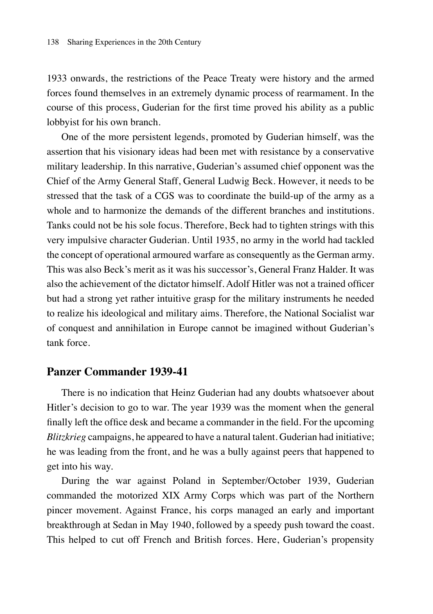1933 onwards, the restrictions of the Peace Treaty were history and the armed forces found themselves in an extremely dynamic process of rearmament. In the course of this process, Guderian for the first time proved his ability as a public lobbyist for his own branch.

One of the more persistent legends, promoted by Guderian himself, was the assertion that his visionary ideas had been met with resistance by a conservative military leadership. In this narrative, Guderian's assumed chief opponent was the Chief of the Army General Staff, General Ludwig Beck. However, it needs to be stressed that the task of a CGS was to coordinate the build-up of the army as a whole and to harmonize the demands of the different branches and institutions. Tanks could not be his sole focus. Therefore, Beck had to tighten strings with this very impulsive character Guderian. Until 1935, no army in the world had tackled the concept of operational armoured warfare as consequently as the German army. This was also Beck's merit as it was his successor's, General Franz Halder. It was also the achievement of the dictator himself. Adolf Hitler was not a trained officer but had a strong yet rather intuitive grasp for the military instruments he needed to realize his ideological and military aims. Therefore, the National Socialist war of conquest and annihilation in Europe cannot be imagined without Guderian's tank force.

#### **Panzer Commander 1939-41**

There is no indication that Heinz Guderian had any doubts whatsoever about Hitler's decision to go to war. The year 1939 was the moment when the general finally left the office desk and became a commander in the field. For the upcoming *Blitzkrieg* campaigns, he appeared to have a natural talent. Guderian had initiative; he was leading from the front, and he was a bully against peers that happened to get into his way.

During the war against Poland in September/October 1939, Guderian commanded the motorized XIX Army Corps which was part of the Northern pincer movement. Against France, his corps managed an early and important breakthrough at Sedan in May 1940, followed by a speedy push toward the coast. This helped to cut off French and British forces. Here, Guderian's propensity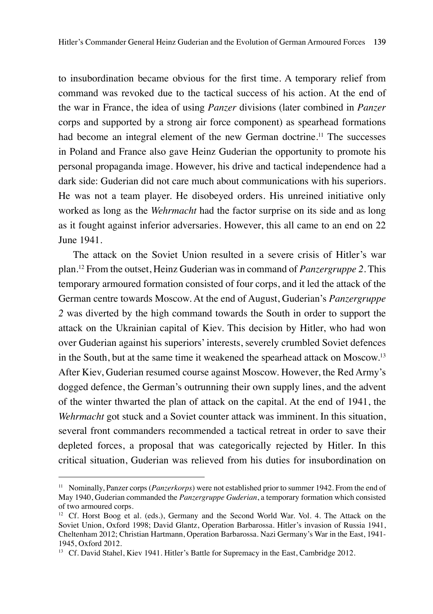to insubordination became obvious for the first time. A temporary relief from command was revoked due to the tactical success of his action. At the end of the war in France, the idea of using *Panzer* divisions (later combined in *Panzer* corps and supported by a strong air force component) as spearhead formations had become an integral element of the new German doctrine.<sup>11</sup> The successes in Poland and France also gave Heinz Guderian the opportunity to promote his personal propaganda image. However, his drive and tactical independence had a dark side: Guderian did not care much about communications with his superiors. He was not a team player. He disobeyed orders. His unreined initiative only worked as long as the *Wehrmacht* had the factor surprise on its side and as long as it fought against inferior adversaries. However, this all came to an end on 22 June 1941.

The attack on the Soviet Union resulted in a severe crisis of Hitler's war plan.12 From the outset, Heinz Guderian was in command of *Panzergruppe 2*. This temporary armoured formation consisted of four corps, and it led the attack of the German centre towards Moscow. At the end of August, Guderian's *Panzergruppe 2* was diverted by the high command towards the South in order to support the attack on the Ukrainian capital of Kiev. This decision by Hitler, who had won over Guderian against his superiors' interests, severely crumbled Soviet defences in the South, but at the same time it weakened the spearhead attack on Moscow.<sup>13</sup> After Kiev, Guderian resumed course against Moscow. However, the Red Army's dogged defence, the German's outrunning their own supply lines, and the advent of the winter thwarted the plan of attack on the capital. At the end of 1941, the *Wehrmacht* got stuck and a Soviet counter attack was imminent. In this situation, several front commanders recommended a tactical retreat in order to save their depleted forces, a proposal that was categorically rejected by Hitler. In this critical situation, Guderian was relieved from his duties for insubordination on

<sup>11</sup> Nominally, Panzer corps (*Panzerkorps*) were not established prior to summer 1942. From the end of May 1940, Guderian commanded the *Panzergruppe Guderian*, a temporary formation which consisted of two armoured corps.

<sup>&</sup>lt;sup>12</sup> Cf. Horst Boog et al. (eds.), Germany and the Second World War. Vol. 4. The Attack on the Soviet Union, Oxford 1998; David Glantz, Operation Barbarossa. Hitler's invasion of Russia 1941, Cheltenham 2012; Christian Hartmann, Operation Barbarossa. Nazi Germany's War in the East, 1941- 1945, Oxford 2012.

<sup>&</sup>lt;sup>13</sup> Cf. David Stahel, Kiev 1941. Hitler's Battle for Supremacy in the East, Cambridge 2012.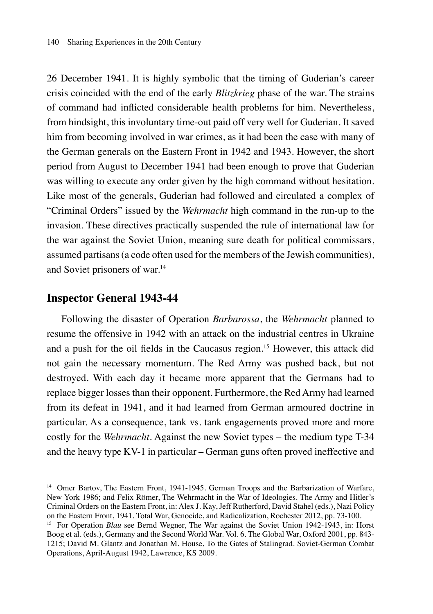26 December 1941. It is highly symbolic that the timing of Guderian's career crisis coincided with the end of the early *Blitzkrieg* phase of the war. The strains of command had inflicted considerable health problems for him. Nevertheless, from hindsight, this involuntary time-out paid off very well for Guderian. It saved him from becoming involved in war crimes, as it had been the case with many of the German generals on the Eastern Front in 1942 and 1943. However, the short period from August to December 1941 had been enough to prove that Guderian was willing to execute any order given by the high command without hesitation. Like most of the generals, Guderian had followed and circulated a complex of "Criminal Orders" issued by the *Wehrmacht* high command in the run-up to the invasion. These directives practically suspended the rule of international law for the war against the Soviet Union, meaning sure death for political commissars, assumed partisans (a code often used for the members of the Jewish communities), and Soviet prisoners of war.14

#### **Inspector General 1943-44**

Following the disaster of Operation *Barbarossa*, the *Wehrmacht* planned to resume the offensive in 1942 with an attack on the industrial centres in Ukraine and a push for the oil fields in the Caucasus region.15 However, this attack did not gain the necessary momentum. The Red Army was pushed back, but not destroyed. With each day it became more apparent that the Germans had to replace bigger losses than their opponent. Furthermore, the Red Army had learned from its defeat in 1941, and it had learned from German armoured doctrine in particular. As a consequence, tank vs. tank engagements proved more and more costly for the *Wehrmacht*. Against the new Soviet types – the medium type T-34 and the heavy type KV-1 in particular – German guns often proved ineffective and

<sup>&</sup>lt;sup>14</sup> Omer Bartov, The Eastern Front, 1941-1945. German Troops and the Barbarization of Warfare, New York 1986; and Felix Römer, The Wehrmacht in the War of Ideologies. The Army and Hitler's Criminal Orders on the Eastern Front, in: Alex J. Kay, Jeff Rutherford, David Stahel (eds.), Nazi Policy on the Eastern Front, 1941. Total War, Genocide, and Radicalization, Rochester 2012, pp. 73-100.

<sup>&</sup>lt;sup>15</sup> For Operation *Blau* see Bernd Wegner, The War against the Soviet Union 1942-1943, in: Horst Boog et al. (eds.), Germany and the Second World War. Vol. 6. The Global War, Oxford 2001, pp. 843- 1215; David M. Glantz and Jonathan M. House, To the Gates of Stalingrad. Soviet-German Combat Operations, April‑August 1942, Lawrence, KS 2009.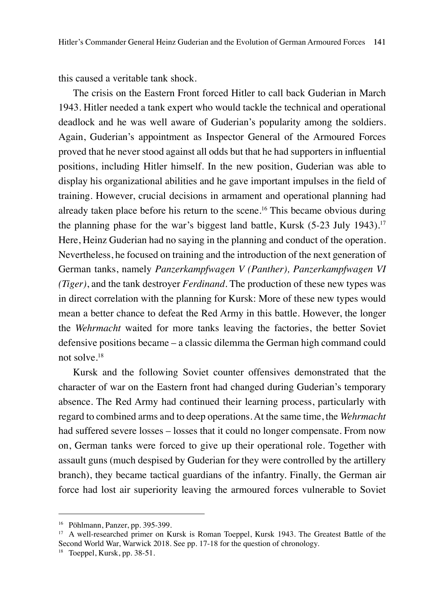this caused a veritable tank shock.

The crisis on the Eastern Front forced Hitler to call back Guderian in March 1943. Hitler needed a tank expert who would tackle the technical and operational deadlock and he was well aware of Guderian's popularity among the soldiers. Again, Guderian's appointment as Inspector General of the Armoured Forces proved that he never stood against all odds but that he had supporters in influential positions, including Hitler himself. In the new position, Guderian was able to display his organizational abilities and he gave important impulses in the field of training. However, crucial decisions in armament and operational planning had already taken place before his return to the scene.<sup>16</sup> This became obvious during the planning phase for the war's biggest land battle, Kursk (5-23 July 1943).<sup>17</sup> Here, Heinz Guderian had no saying in the planning and conduct of the operation. Nevertheless, he focused on training and the introduction of the next generation of German tanks, namely *Panzerkampfwagen V (Panther), Panzerkampfwagen VI (Tiger)*, and the tank destroyer *Ferdinand*. The production of these new types was in direct correlation with the planning for Kursk: More of these new types would mean a better chance to defeat the Red Army in this battle. However, the longer the *Wehrmacht* waited for more tanks leaving the factories, the better Soviet defensive positions became – a classic dilemma the German high command could not solve.18

Kursk and the following Soviet counter offensives demonstrated that the character of war on the Eastern front had changed during Guderian's temporary absence. The Red Army had continued their learning process, particularly with regard to combined arms and to deep operations. At the same time, the *Wehrmacht* had suffered severe losses – losses that it could no longer compensate. From now on, German tanks were forced to give up their operational role. Together with assault guns (much despised by Guderian for they were controlled by the artillery branch), they became tactical guardians of the infantry. Finally, the German air force had lost air superiority leaving the armoured forces vulnerable to Soviet

<sup>16</sup> Pöhlmann, Panzer, pp. 395-399.

<sup>&</sup>lt;sup>17</sup> A well-researched primer on Kursk is Roman Toeppel, Kursk 1943. The Greatest Battle of the Second World War, Warwick 2018. See pp. 17-18 for the question of chronology.

<sup>18</sup> Toeppel, Kursk, pp. 38-51.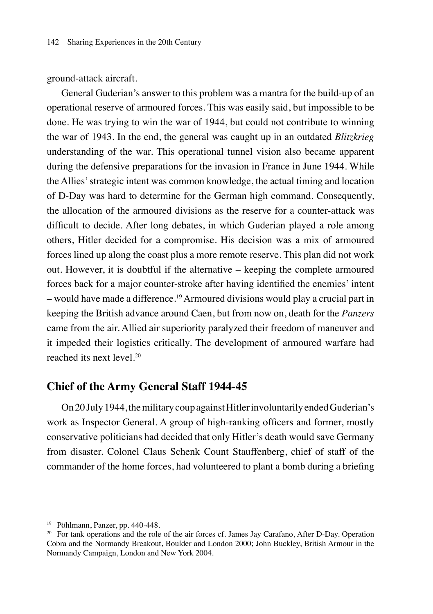ground-attack aircraft.

General Guderian's answer to this problem was a mantra for the build-up of an operational reserve of armoured forces. This was easily said, but impossible to be done. He was trying to win the war of 1944, but could not contribute to winning the war of 1943. In the end, the general was caught up in an outdated *Blitzkrieg* understanding of the war. This operational tunnel vision also became apparent during the defensive preparations for the invasion in France in June 1944. While the Allies' strategic intent was common knowledge, the actual timing and location of D-Day was hard to determine for the German high command. Consequently, the allocation of the armoured divisions as the reserve for a counter-attack was difficult to decide. After long debates, in which Guderian played a role among others, Hitler decided for a compromise. His decision was a mix of armoured forces lined up along the coast plus a more remote reserve. This plan did not work out. However, it is doubtful if the alternative – keeping the complete armoured forces back for a major counter-stroke after having identified the enemies' intent – would have made a difference.19 Armoured divisions would play a crucial part in keeping the British advance around Caen, but from now on, death for the *Panzers* came from the air. Allied air superiority paralyzed their freedom of maneuver and it impeded their logistics critically. The development of armoured warfare had reached its next level.<sup>20</sup>

#### **Chief of the Army General Staff 1944-45**

On 20 July 1944, the military coup against Hitler involuntarily ended Guderian's work as Inspector General. A group of high-ranking officers and former, mostly conservative politicians had decided that only Hitler's death would save Germany from disaster. Colonel Claus Schenk Count Stauffenberg, chief of staff of the commander of the home forces, had volunteered to plant a bomb during a briefing

<sup>19</sup> Pöhlmann, Panzer, pp. 440-448.

<sup>&</sup>lt;sup>20</sup> For tank operations and the role of the air forces cf. James Jay Carafano, After D-Day. Operation Cobra and the Normandy Breakout, Boulder and London 2000; John Buckley, British Armour in the Normandy Campaign, London and New York 2004.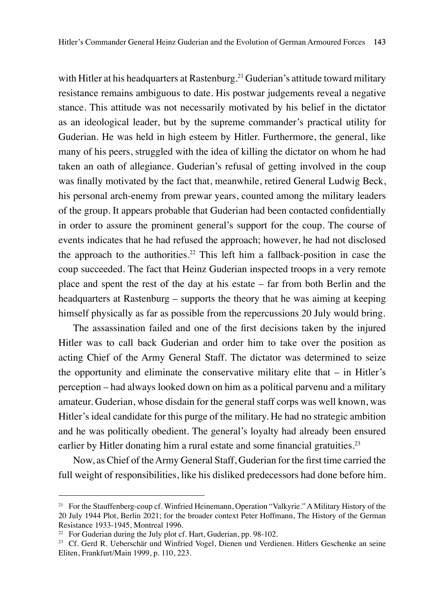with Hitler at his headquarters at Rastenburg.<sup>21</sup> Guderian's attitude toward military resistance remains ambiguous to date. His postwar judgements reveal a negative stance. This attitude was not necessarily motivated by his belief in the dictator as an ideological leader, but by the supreme commander's practical utility for Guderian. He was held in high esteem by Hitler. Furthermore, the general, like many of his peers, struggled with the idea of killing the dictator on whom he had taken an oath of allegiance. Guderian's refusal of getting involved in the coup was finally motivated by the fact that, meanwhile, retired General Ludwig Beck, his personal arch-enemy from prewar years, counted among the military leaders of the group. It appears probable that Guderian had been contacted confidentially in order to assure the prominent general's support for the coup. The course of events indicates that he had refused the approach; however, he had not disclosed the approach to the authorities.<sup>22</sup> This left him a fallback-position in case the coup succeeded. The fact that Heinz Guderian inspected troops in a very remote place and spent the rest of the day at his estate – far from both Berlin and the headquarters at Rastenburg – supports the theory that he was aiming at keeping himself physically as far as possible from the repercussions 20 July would bring.

The assassination failed and one of the first decisions taken by the injured Hitler was to call back Guderian and order him to take over the position as acting Chief of the Army General Staff. The dictator was determined to seize the opportunity and eliminate the conservative military elite that – in Hitler's perception – had always looked down on him as a political parvenu and a military amateur. Guderian, whose disdain for the general staff corps was well known, was Hitler's ideal candidate for this purge of the military. He had no strategic ambition and he was politically obedient. The general's loyalty had already been ensured earlier by Hitler donating him a rural estate and some financial gratuities.<sup>23</sup>

Now, as Chief of the Army General Staff, Guderian for the first time carried the full weight of responsibilities, like his disliked predecessors had done before him.

<sup>&</sup>lt;sup>21</sup> For the Stauffenberg-coup cf. Winfried Heinemann, Operation "Valkyrie." A Military History of the 20 July 1944 Plot, Berlin 2021; for the broader context Peter Hoffmann, The History of the German Resistance 1933-1945, Montreal 1996.

<sup>&</sup>lt;sup>22</sup> For Guderian during the July plot cf. Hart, Guderian, pp. 98-102.

<sup>23</sup> Cf. Gerd R. Ueberschär und Winfried Vogel, Dienen und Verdienen. Hitlers Geschenke an seine Eliten, Frankfurt/Main 1999, p. 110, 223.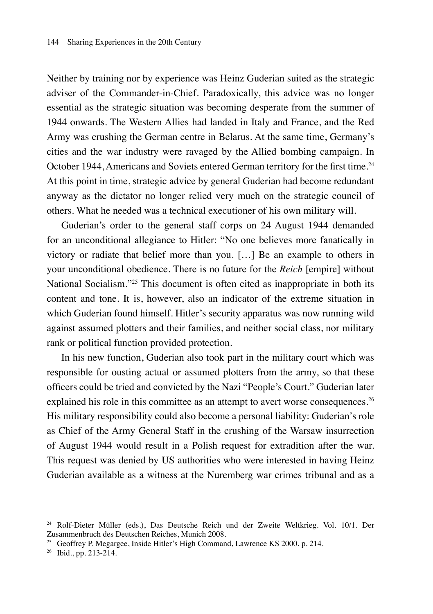Neither by training nor by experience was Heinz Guderian suited as the strategic adviser of the Commander-in-Chief. Paradoxically, this advice was no longer essential as the strategic situation was becoming desperate from the summer of 1944 onwards. The Western Allies had landed in Italy and France, and the Red Army was crushing the German centre in Belarus. At the same time, Germany's cities and the war industry were ravaged by the Allied bombing campaign. In October 1944, Americans and Soviets entered German territory for the first time.<sup>24</sup> At this point in time, strategic advice by general Guderian had become redundant anyway as the dictator no longer relied very much on the strategic council of others. What he needed was a technical executioner of his own military will.

Guderian's order to the general staff corps on 24 August 1944 demanded for an unconditional allegiance to Hitler: "No one believes more fanatically in victory or radiate that belief more than you. […] Be an example to others in your unconditional obedience. There is no future for the *Reich* [empire] without National Socialism."<sup>25</sup> This document is often cited as inappropriate in both its content and tone. It is, however, also an indicator of the extreme situation in which Guderian found himself. Hitler's security apparatus was now running wild against assumed plotters and their families, and neither social class, nor military rank or political function provided protection.

In his new function, Guderian also took part in the military court which was responsible for ousting actual or assumed plotters from the army, so that these officers could be tried and convicted by the Nazi "People's Court." Guderian later explained his role in this committee as an attempt to avert worse consequences.<sup>26</sup> His military responsibility could also become a personal liability: Guderian's role as Chief of the Army General Staff in the crushing of the Warsaw insurrection of August 1944 would result in a Polish request for extradition after the war. This request was denied by US authorities who were interested in having Heinz Guderian available as a witness at the Nuremberg war crimes tribunal and as a

<sup>24</sup> Rolf-Dieter Müller (eds.), Das Deutsche Reich und der Zweite Weltkrieg. Vol. 10/1. Der Zusammenbruch des Deutschen Reiches, Munich 2008.

<sup>25</sup> Geoffrey P. Megargee, Inside Hitler's High Command, Lawrence KS 2000, p. 214.

<sup>26</sup> Ibid., pp. 213-214.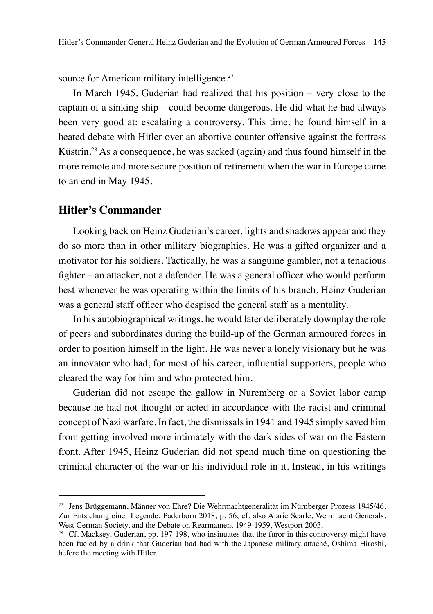source for American military intelligence.<sup>27</sup>

In March 1945, Guderian had realized that his position – very close to the captain of a sinking ship – could become dangerous. He did what he had always been very good at: escalating a controversy. This time, he found himself in a heated debate with Hitler over an abortive counter offensive against the fortress Küstrin.<sup>28</sup> As a consequence, he was sacked (again) and thus found himself in the more remote and more secure position of retirement when the war in Europe came to an end in May 1945.

### **Hitler's Commander**

Looking back on Heinz Guderian's career, lights and shadows appear and they do so more than in other military biographies. He was a gifted organizer and a motivator for his soldiers. Tactically, he was a sanguine gambler, not a tenacious fighter – an attacker, not a defender. He was a general officer who would perform best whenever he was operating within the limits of his branch. Heinz Guderian was a general staff officer who despised the general staff as a mentality.

In his autobiographical writings, he would later deliberately downplay the role of peers and subordinates during the build-up of the German armoured forces in order to position himself in the light. He was never a lonely visionary but he was an innovator who had, for most of his career, influential supporters, people who cleared the way for him and who protected him.

Guderian did not escape the gallow in Nuremberg or a Soviet labor camp because he had not thought or acted in accordance with the racist and criminal concept of Nazi warfare. In fact, the dismissals in 1941 and 1945 simply saved him from getting involved more intimately with the dark sides of war on the Eastern front. After 1945, Heinz Guderian did not spend much time on questioning the criminal character of the war or his individual role in it. Instead, in his writings

<sup>27</sup> Jens Brüggemann, Männer von Ehre? Die Wehrmachtgeneralität im Nürnberger Prozess 1945/46. Zur Entstehung einer Legende, Paderborn 2018, p. 56; cf. also Alaric Searle, Wehrmacht Generals, West German Society, and the Debate on Rearmament 1949-1959, Westport 2003.

<sup>&</sup>lt;sup>28</sup> Cf. Macksey, Guderian, pp. 197-198, who insinuates that the furor in this controversy might have been fueled by a drink that Guderian had had with the Japanese military attaché, Ōshima Hiroshi, before the meeting with Hitler.